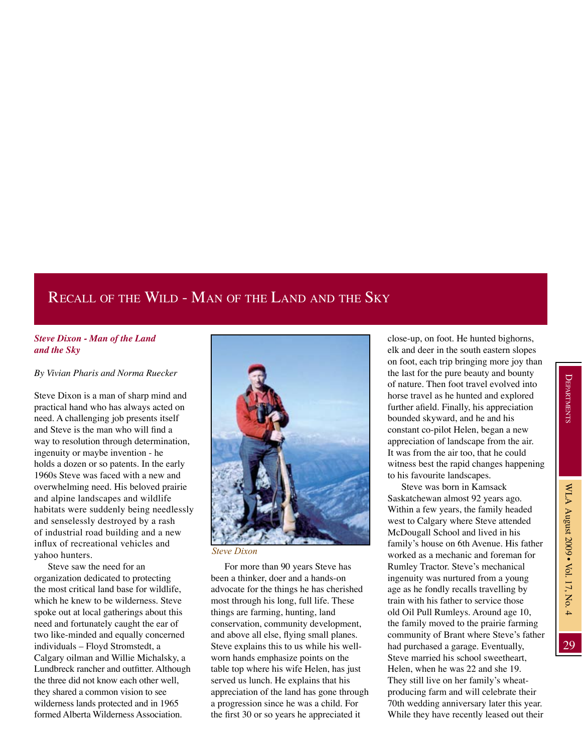29

## Recall of the Wild - Man of the Land and the Sky

## *Steve Dixon - Man of the Land and the Sky*

## *By Vivian Pharis and Norma Ruecker*

Steve Dixon is a man of sharp mind and practical hand who has always acted on need. A challenging job presents itself and Steve is the man who will find a way to resolution through determination, ingenuity or maybe invention - he holds a dozen or so patents. In the early 1960s Steve was faced with a new and overwhelming need. His beloved prairie and alpine landscapes and wildlife habitats were suddenly being needlessly and senselessly destroyed by a rash of industrial road building and a new influx of recreational vehicles and yahoo hunters.

Steve saw the need for an organization dedicated to protecting the most critical land base for wildlife, which he knew to be wilderness. Steve spoke out at local gatherings about this need and fortunately caught the ear of two like-minded and equally concerned individuals – Floyd Stromstedt, a Calgary oilman and Willie Michalsky, a Lundbreck rancher and outfitter. Although the three did not know each other well, they shared a common vision to see wilderness lands protected and in 1965 formed Alberta Wilderness Association.



*Steve Dixon*

For more than 90 years Steve has been a thinker, doer and a hands-on advocate for the things he has cherished most through his long, full life. These things are farming, hunting, land conservation, community development, and above all else, flying small planes. Steve explains this to us while his wellworn hands emphasize points on the table top where his wife Helen, has just served us lunch. He explains that his appreciation of the land has gone through a progression since he was a child. For the first 30 or so years he appreciated it

close-up, on foot. He hunted bighorns, elk and deer in the south eastern slopes on foot, each trip bringing more joy than the last for the pure beauty and bounty of nature. Then foot travel evolved into horse travel as he hunted and explored further afield. Finally, his appreciation bounded skyward, and he and his constant co-pilot Helen, began a new appreciation of landscape from the air. It was from the air too, that he could witness best the rapid changes happening to his favourite landscapes.

Steve was born in Kamsack Saskatchewan almost 92 years ago. Within a few years, the family headed west to Calgary where Steve attended McDougall School and lived in his family's house on 6th Avenue. His father worked as a mechanic and foreman for Rumley Tractor. Steve's mechanical ingenuity was nurtured from a young age as he fondly recalls travelling by train with his father to service those old Oil Pull Rumleys. Around age 10, the family moved to the prairie farming community of Brant where Steve's father had purchased a garage. Eventually, Steve married his school sweetheart, Helen, when he was 22 and she 19. They still live on her family's wheatproducing farm and will celebrate their 70th wedding anniversary later this year. While they have recently leased out their